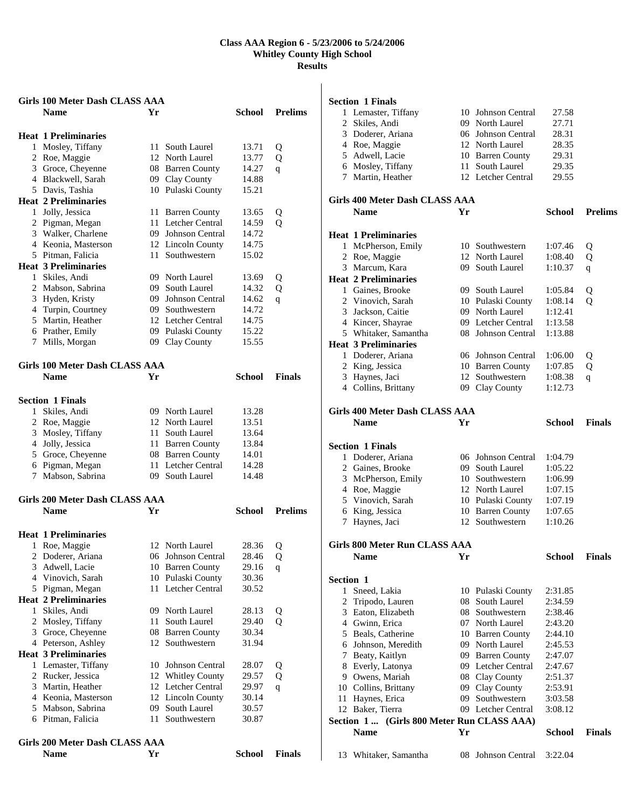|   | <b>Girls 100 Meter Dash CLASS AAA</b>                |      |                      |               |                |
|---|------------------------------------------------------|------|----------------------|---------------|----------------|
|   | <b>Name</b>                                          | Yr   |                      | School        | <b>Prelims</b> |
|   |                                                      |      |                      |               |                |
|   | <b>Heat 1 Preliminaries</b>                          |      |                      |               |                |
|   | 1 Mosley, Tiffany                                    | 11   | South Laurel         | 13.71         | Q              |
|   | 2 Roe, Maggie                                        |      | 12 North Laurel      | 13.77         | Q              |
|   | 3 Groce, Cheyenne                                    |      | 08 Barren County     | 14.27         | q              |
|   | 4 Blackwell, Sarah                                   |      | 09 Clay County       | 14.88         |                |
|   | 5 Davis, Tashia                                      |      | 10 Pulaski County    | 15.21         |                |
|   | <b>Heat 2 Preliminaries</b>                          |      |                      |               |                |
|   | 1 Jolly, Jessica                                     | 11   | <b>Barren County</b> | 13.65         | Q              |
|   | 2 Pigman, Megan                                      | 11.  | Letcher Central      | 14.59         | Q              |
|   | 3 Walker, Charlene                                   |      | 09 Johnson Central   | 14.72         |                |
|   | 4 Keonia, Masterson                                  |      | 12 Lincoln County    | 14.75         |                |
|   | 5 Pitman, Falicia                                    | 11 - | Southwestern         | 15.02         |                |
|   | <b>Heat 3 Preliminaries</b>                          |      |                      |               |                |
|   | 1 Skiles, Andi                                       |      | 09 North Laurel      | 13.69         | Q              |
|   | 2 Mabson, Sabrina                                    |      | 09 South Laurel      | 14.32         | Q              |
|   | 3 Hyden, Kristy                                      |      | 09 Johnson Central   | 14.62         | q              |
|   | 4 Turpin, Courtney                                   |      | 09 Southwestern      | 14.72         |                |
|   | 5 Martin, Heather                                    |      | 12 Letcher Central   | 14.75         |                |
|   | 6 Prather, Emily                                     |      | 09 Pulaski County    | 15.22         |                |
|   | 7 Mills, Morgan                                      |      | 09 Clay County       | 15.55         |                |
|   | <b>Girls 100 Meter Dash CLASS AAA</b>                |      |                      |               |                |
|   | <b>Name</b>                                          | Yr   |                      | <b>School</b> | <b>Finals</b>  |
|   | <b>Section 1 Finals</b>                              |      |                      |               |                |
|   | 1 Skiles, Andi                                       |      | 09 North Laurel      | 13.28         |                |
|   | 2 Roe, Maggie                                        |      | 12 North Laurel      | 13.51         |                |
|   | 3 Mosley, Tiffany                                    | 11   | South Laurel         | 13.64         |                |
|   | 4 Jolly, Jessica                                     |      | 11 Barren County     | 13.84         |                |
|   | 5 Groce, Cheyenne                                    |      | 08 Barren County     | 14.01         |                |
|   | 6 Pigman, Megan                                      | 11   | Letcher Central      | 14.28         |                |
|   | 7 Mabson, Sabrina                                    |      | 09 South Laurel      | 14.48         |                |
|   |                                                      |      |                      |               |                |
|   | <b>Girls 200 Meter Dash CLASS AAA</b><br><b>Name</b> | Yr   |                      | <b>School</b> | <b>Prelims</b> |
|   |                                                      |      |                      |               |                |
|   | <b>Heat 1 Preliminaries</b>                          |      |                      |               |                |
| 1 | Roe, Maggie                                          |      | 12 North Laurel      | 28.36         | Q              |
|   | 2 Doderer, Ariana                                    |      | 06 Johnson Central   | 28.46         | Q              |
|   | 3 Adwell, Lacie                                      |      | 10 Barren County     | 29.16         | q              |
|   | 4 Vinovich, Sarah                                    |      | 10 Pulaski County    | 30.36         |                |
|   | 5 Pigman, Megan                                      | 11-  | Letcher Central      | 30.52         |                |
|   | <b>Heat 2 Preliminaries</b>                          |      |                      |               |                |
|   | 1 Skiles, Andi                                       |      | 09 North Laurel      | 28.13         | Q              |
|   | 2 Mosley, Tiffany                                    | 11   | South Laurel         | 29.40         | Q              |
|   | 3 Groce, Cheyenne                                    | 08   | <b>Barren County</b> | 30.34         |                |
|   | 4 Peterson, Ashley                                   | 12   | Southwestern         | 31.94         |                |
|   | <b>Heat 3 Preliminaries</b>                          |      |                      |               |                |
|   | 1 Lemaster, Tiffany                                  | 10-  | Johnson Central      | 28.07         | Q              |
|   | 2 Rucker, Jessica                                    |      | 12 Whitley County    | 29.57         | Q              |
|   | 3 Martin, Heather                                    |      | 12 Letcher Central   | 29.97         | $\mathbf{q}$   |
|   | 4 Keonia, Masterson                                  |      | 12 Lincoln County    | 30.14         |                |
|   | 5 Mabson, Sabrina                                    | 09.  | South Laurel         | 30.57         |                |
|   | 6 Pitman, Falicia                                    | 11   | Southwestern         | 30.87         |                |
|   | Girls 200 Meter Dash CLASS AAA                       |      |                      |               |                |
|   | <b>Name</b>                                          | Yr   |                      | School        | <b>Finals</b>  |

|                       | <b>Section 1 Finals</b>                   |    |                                      |                    |                |
|-----------------------|-------------------------------------------|----|--------------------------------------|--------------------|----------------|
|                       | 1 Lemaster, Tiffany                       |    | 10 Johnson Central                   | 27.58              |                |
| 2                     | Skiles, Andi                              |    | 09 North Laurel                      | 27.71              |                |
|                       | 3 Doderer, Ariana                         |    | 06 Johnson Central                   | 28.31              |                |
|                       | 4 Roe, Maggie                             |    | 12 North Laurel                      | 28.35              |                |
|                       | 5 Adwell, Lacie                           |    | 10 Barren County                     | 29.31              |                |
|                       | 6 Mosley, Tiffany                         |    | 11 South Laurel                      | 29.35              |                |
|                       | 7 Martin, Heather                         |    | 12 Letcher Central                   | 29.55              |                |
|                       | Girls 400 Meter Dash CLASS AAA            |    |                                      |                    |                |
|                       | <b>Name</b>                               | Yr |                                      | School             | <b>Prelims</b> |
|                       | <b>Heat 1 Preliminaries</b>               |    |                                      |                    |                |
|                       | 1 McPherson, Emily                        |    | 10 Southwestern                      | 1:07.46            | Q              |
|                       | 2 Roe, Maggie                             |    | 12 North Laurel                      | 1:08.40            | Q              |
|                       | 3 Marcum, Kara                            |    | 09 South Laurel                      | 1:10.37            | q              |
|                       | <b>Heat 2 Preliminaries</b>               |    |                                      |                    |                |
|                       | 1 Gaines, Brooke                          |    | 09 South Laurel                      | 1:05.84            | Q              |
|                       | 2 Vinovich, Sarah                         |    | 10 Pulaski County                    | 1:08.14            | Q              |
| 3 <sup>1</sup>        | Jackson, Caitie                           |    | 09 North Laurel                      | 1:12.41            |                |
|                       | 4 Kincer, Shayrae                         |    | 09 Letcher Central                   | 1:13.58            |                |
|                       | 5 Whitaker, Samantha                      |    | 08 Johnson Central                   | 1:13.88            |                |
|                       | <b>Heat 3 Preliminaries</b>               |    |                                      |                    |                |
|                       | 1 Doderer, Ariana                         |    | 06 Johnson Central                   | 1:06.00            | Q              |
|                       | 2 King, Jessica                           |    | 10 Barren County                     | 1:07.85            | Q              |
|                       | 3 Haynes, Jaci                            |    | 12 Southwestern                      | 1:08.38            | q              |
|                       | 4 Collins, Brittany                       |    | 09 Clay County                       | 1:12.73            |                |
|                       | Girls 400 Meter Dash CLASS AAA            |    |                                      |                    |                |
|                       | <b>Name</b>                               | Yr |                                      | School             | <b>Finals</b>  |
|                       | <b>Section 1 Finals</b>                   |    |                                      |                    |                |
|                       | 1 Doderer, Ariana                         |    | 06 Johnson Central                   | 1:04.79            |                |
|                       | 2 Gaines, Brooke                          |    | 09 South Laurel                      | 1:05.22            |                |
|                       | 3 McPherson, Emily                        |    | 10 Southwestern                      | 1:06.99            |                |
|                       | 4 Roe, Maggie                             |    | 12 North Laurel                      | 1:07.15            |                |
|                       | 5 Vinovich, Sarah                         |    | 10 Pulaski County                    | 1:07.19            |                |
|                       | 6 King, Jessica                           |    | 10 Barren County                     | 1:07.65            |                |
|                       | 7 Haynes, Jaci                            |    | 12 Southwestern                      | 1:10.26            |                |
|                       |                                           |    |                                      |                    |                |
|                       | Girls 800 Meter Run CLASS AAA             |    |                                      |                    |                |
|                       | <b>Name</b>                               | Yr |                                      | <b>School</b>      | <b>Finals</b>  |
|                       |                                           |    |                                      |                    |                |
| <b>Section 1</b><br>1 |                                           |    |                                      |                    |                |
|                       | Sneed, Lakia                              |    | 10 Pulaski County<br>08 South Laurel | 2:31.85<br>2:34.59 |                |
|                       | 2 Tripodo, Lauren<br>3 Eaton, Elizabeth   |    | 08 Southwestern                      | 2:38.46            |                |
|                       | 4 Gwinn, Erica                            |    | 07 North Laurel                      | 2:43.20            |                |
|                       | 5 Beals, Catherine                        |    | 10 Barren County                     | 2:44.10            |                |
|                       | 6 Johnson, Meredith                       |    | 09 North Laurel                      | 2:45.53            |                |
|                       | 7 Beaty, Kaitlyn                          |    | 09 Barren County                     | 2:47.07            |                |
|                       | 8 Everly, Latonya                         |    | 09 Letcher Central                   | 2:47.67            |                |
|                       | 9 Owens, Mariah                           |    | 08 Clay County                       | 2:51.37            |                |
|                       | 10 Collins, Brittany                      |    | 09 Clay County                       | 2:53.91            |                |
|                       | 11 Haynes, Erica                          |    | 09 Southwestern                      | 3:03.58            |                |
|                       | 12 Baker, Tierra                          |    | 09 Letcher Central                   | 3:08.12            |                |
|                       | Section 1 (Girls 800 Meter Run CLASS AAA) |    |                                      |                    |                |
|                       | <b>Name</b>                               | Yr |                                      | <b>School</b>      | <b>Finals</b>  |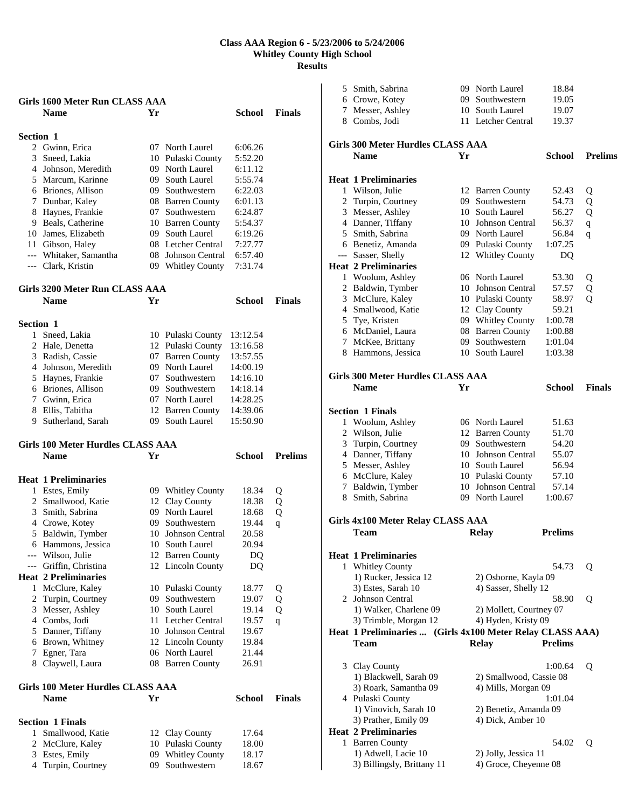|                  | Girls 1600 Meter Run CLASS AAA           |     |                                     |          |                |
|------------------|------------------------------------------|-----|-------------------------------------|----------|----------------|
|                  | <b>Name</b>                              | Yr  |                                     | School   | <b>Finals</b>  |
|                  |                                          |     |                                     |          |                |
| <b>Section 1</b> |                                          |     |                                     |          |                |
|                  | 2 Gwinn, Erica                           |     | 07 North Laurel                     | 6:06.26  |                |
|                  | 3 Sneed, Lakia                           |     | 10 Pulaski County                   | 5:52.20  |                |
|                  | 4 Johnson, Meredith                      |     | 09 North Laurel                     | 6:11.12  |                |
|                  | 5 Marcum, Karinne                        |     | 09 South Laurel                     | 5:55.74  |                |
|                  | 6 Briones, Allison                       |     | 09 Southwestern                     | 6:22.03  |                |
|                  | 7 Dunbar, Kaley                          |     | 08 Barren County                    | 6:01.13  |                |
|                  | 8 Haynes, Frankie                        | 07  | Southwestern                        | 6:24.87  |                |
|                  | 9 Beals, Catherine                       |     | 10 Barren County                    | 5:54.37  |                |
|                  | 10 James, Elizabeth                      |     | 09 South Laurel                     | 6:19.26  |                |
|                  | 11 Gibson, Haley                         |     | 08 Letcher Central                  | 7:27.77  |                |
|                  | --- Whitaker, Samantha                   | 08  | Johnson Central                     | 6:57.40  |                |
|                  | --- Clark, Kristin                       |     | 09 Whitley County                   | 7:31.74  |                |
|                  | <b>Girls 3200 Meter Run CLASS AAA</b>    |     |                                     |          |                |
|                  | <b>Name</b>                              | Yr  |                                     | School   | <b>Finals</b>  |
|                  |                                          |     |                                     |          |                |
| <b>Section 1</b> |                                          |     |                                     |          |                |
|                  | 1 Sneed, Lakia                           |     | 10 Pulaski County                   | 13:12.54 |                |
|                  | 2 Hale, Denetta                          |     | 12 Pulaski County                   | 13:16.58 |                |
|                  | 3 Radish, Cassie                         |     | 07 Barren County                    | 13:57.55 |                |
|                  | 4 Johnson, Meredith                      |     | 09 North Laurel                     | 14:00.19 |                |
|                  | 5 Haynes, Frankie                        |     | 07 Southwestern                     | 14:16.10 |                |
|                  | 6 Briones, Allison                       |     | 09 Southwestern                     | 14:18.14 |                |
|                  | 7 Gwinn, Erica                           |     | 07 North Laurel                     | 14:28.25 |                |
|                  | 8 Ellis, Tabitha                         |     | 12 Barren County                    | 14:39.06 |                |
|                  | 9 Sutherland, Sarah                      |     | 09 South Laurel                     | 15:50.90 |                |
|                  |                                          |     |                                     |          |                |
|                  | <b>Girls 100 Meter Hurdles CLASS AAA</b> |     |                                     |          |                |
|                  | <b>Name</b>                              | Yr  |                                     | School   | <b>Prelims</b> |
|                  |                                          |     |                                     |          |                |
|                  | <b>Heat 1 Preliminaries</b>              |     |                                     |          |                |
|                  |                                          |     |                                     | 18.34    | Q              |
|                  | 1 Estes, Emily<br>2 Smallwood, Katie     |     | 09 Whitley County<br>12 Clay County | 18.38    | Q              |
|                  | 3 Smith, Sabrina                         |     | 09 North Laurel                     | 18.68    | Q              |
|                  | 4 Crowe, Kotey                           | 09  | Southwestern                        | 19.44    | q              |
|                  | 5 Baldwin, Tymber                        | 10  | Johnson Central                     | 20.58    |                |
|                  | 6 Hammons, Jessica                       |     | 10 South Laurel                     | 20.94    |                |
|                  | --- Wilson, Julie                        |     | 12 Barren County                    | DQ       |                |
| ---              | Griffin, Christina                       | 12  | Lincoln County                      | DQ       |                |
|                  | <b>Heat 2 Preliminaries</b>              |     |                                     |          |                |
|                  | 1 McClure, Kaley                         |     | 10 Pulaski County                   | 18.77    | Q              |
|                  | 2 Turpin, Courtney                       | 09. | Southwestern                        | 19.07    | Q              |
|                  | 3 Messer, Ashley                         | 10  | South Laurel                        | 19.14    | Q              |
|                  | 4 Combs, Jodi                            | 11  | Letcher Central                     | 19.57    | q              |
|                  | 5 Danner, Tiffany                        | 10  | Johnson Central                     | 19.67    |                |
|                  | 6 Brown, Whitney                         |     | 12 Lincoln County                   | 19.84    |                |
|                  | 7 Egner, Tara                            |     | 06 North Laurel                     | 21.44    |                |
|                  | 8 Claywell, Laura                        |     | 08 Barren County                    | 26.91    |                |
|                  | <b>Girls 100 Meter Hurdles CLASS AAA</b> |     |                                     |          |                |
|                  | <b>Name</b>                              | Yr  |                                     | School   | <b>Finals</b>  |
|                  |                                          |     |                                     |          |                |
|                  | <b>Section 1 Finals</b>                  |     |                                     |          |                |
| $\mathbf{1}$     | Smallwood, Katie                         |     | 12 Clay County                      | 17.64    |                |
| 2                | McClure, Kaley                           | 10  | Pulaski County<br>09 Whitley County | 18.00    |                |

Turpin, Courtney 09 Southwestern 18.67

| 5 | Smith, Sabrina                                            |    | 09 North Laurel         | 18.84          |                |
|---|-----------------------------------------------------------|----|-------------------------|----------------|----------------|
|   | 6 Crowe, Kotey                                            |    | 09 Southwestern         | 19.05          |                |
|   | 7 Messer, Ashley                                          |    | 10 South Laurel         | 19.07          |                |
|   | 8 Combs, Jodi                                             |    | 11 Letcher Central      | 19.37          |                |
|   |                                                           |    |                         |                |                |
|   | Girls 300 Meter Hurdles CLASS AAA                         |    |                         |                |                |
|   |                                                           |    |                         |                |                |
|   | <b>Name</b>                                               | Yr |                         | School         | <b>Prelims</b> |
|   |                                                           |    |                         |                |                |
|   | <b>Heat 1 Preliminaries</b>                               |    |                         |                |                |
| 1 | Wilson, Julie                                             |    | 12 Barren County        | 52.43          | Q              |
|   | 2 Turpin, Courtney                                        |    | 09 Southwestern         | 54.73          | Q              |
|   | 3 Messer, Ashley                                          |    | 10 South Laurel         | 56.27          | Q              |
|   | 4 Danner, Tiffany                                         |    | 10 Johnson Central      | 56.37          | $\mathbf q$    |
|   | 5 Smith, Sabrina                                          |    | 09 North Laurel         | 56.84          | q              |
|   | 6 Benetiz, Amanda                                         |    | 09 Pulaski County       | 1:07.25        |                |
|   | --- Sasser, Shelly                                        |    | 12 Whitley County       | DQ             |                |
|   | <b>Heat 2 Preliminaries</b>                               |    |                         |                |                |
|   | 1 Woolum, Ashley                                          |    | 06 North Laurel         | 53.30          |                |
|   |                                                           |    |                         |                | Q              |
|   | 2 Baldwin, Tymber                                         |    | 10 Johnson Central      | 57.57          | Q              |
|   | 3 McClure, Kaley                                          |    | 10 Pulaski County       | 58.97          | Q              |
|   | 4 Smallwood, Katie                                        |    | 12 Clay County          | 59.21          |                |
|   | 5 Tye, Kristen                                            |    | 09 Whitley County       | 1:00.78        |                |
|   | 6 McDaniel, Laura                                         |    | 08 Barren County        | 1:00.88        |                |
|   | 7 McKee, Brittany                                         |    | 09 Southwestern         | 1:01.04        |                |
|   | 8 Hammons, Jessica                                        |    | 10 South Laurel         | 1:03.38        |                |
|   |                                                           |    |                         |                |                |
|   | Girls 300 Meter Hurdles CLASS AAA                         |    |                         |                |                |
|   | <b>Name</b>                                               | Yr |                         | School         | <b>Finals</b>  |
|   |                                                           |    |                         |                |                |
|   |                                                           |    |                         |                |                |
|   | <b>Section 1 Finals</b>                                   |    |                         |                |                |
| 1 | Woolum, Ashley                                            |    | 06 North Laurel         | 51.63          |                |
| 2 | Wilson, Julie                                             |    | 12 Barren County        | 51.70          |                |
| 3 | Turpin, Courtney                                          |    | 09 Southwestern         | 54.20          |                |
|   |                                                           |    |                         |                |                |
|   | 4 Danner, Tiffany                                         |    | 10 Johnson Central      | 55.07          |                |
|   | 5 Messer, Ashley                                          |    | 10 South Laurel         | 56.94          |                |
|   | 6 McClure, Kaley                                          |    | 10 Pulaski County       | 57.10          |                |
| 7 | Baldwin, Tymber                                           |    | 10 Johnson Central      | 57.14          |                |
|   | 8 Smith, Sabrina                                          |    | 09 North Laurel         | 1:00.67        |                |
|   |                                                           |    |                         |                |                |
|   |                                                           |    |                         |                |                |
|   | Girls 4x100 Meter Relay CLASS AAA<br>Team                 |    |                         | <b>Prelims</b> |                |
|   |                                                           |    | <b>Relay</b>            |                |                |
|   |                                                           |    |                         |                |                |
|   | <b>Heat 1 Preliminaries</b>                               |    |                         |                |                |
| 1 | <b>Whitley County</b>                                     |    |                         | 54.73          | Q              |
|   | 1) Rucker, Jessica 12                                     |    | 2) Osborne, Kayla 09    |                |                |
|   | 3) Estes, Sarah 10                                        |    | 4) Sasser, Shelly 12    |                |                |
|   | 2 Johnson Central                                         |    |                         | 58.90          | Q              |
|   | 1) Walker, Charlene 09                                    |    | 2) Mollett, Courtney 07 |                |                |
|   | 3) Trimble, Morgan 12                                     |    | 4) Hyden, Kristy 09     |                |                |
|   | Heat 1 Preliminaries  (Girls 4x100 Meter Relay CLASS AAA) |    |                         |                |                |
|   | <b>Team</b>                                               |    | <b>Relay</b>            | <b>Prelims</b> |                |
|   |                                                           |    |                         |                |                |
|   |                                                           |    |                         |                |                |
|   | 3 Clay County                                             |    |                         | 1:00.64        | Q              |
|   | 1) Blackwell, Sarah 09                                    |    | 2) Smallwood, Cassie 08 |                |                |
|   | 3) Roark, Samantha 09                                     |    | 4) Mills, Morgan 09     |                |                |
|   | 4 Pulaski County                                          |    |                         | 1:01.04        |                |
|   | 1) Vinovich, Sarah 10                                     |    | 2) Benetiz, Amanda 09   |                |                |
|   | 3) Prather, Emily 09                                      |    | 4) Dick, Amber 10       |                |                |
|   | <b>Heat 2 Preliminaries</b>                               |    |                         |                |                |
|   | 1 Barren County                                           |    |                         | 54.02          | Q              |
|   | 1) Adwell, Lacie 10                                       |    | 2) Jolly, Jessica 11    |                |                |
|   | 3) Billingsly, Brittany 11                                |    | 4) Groce, Cheyenne 08   |                |                |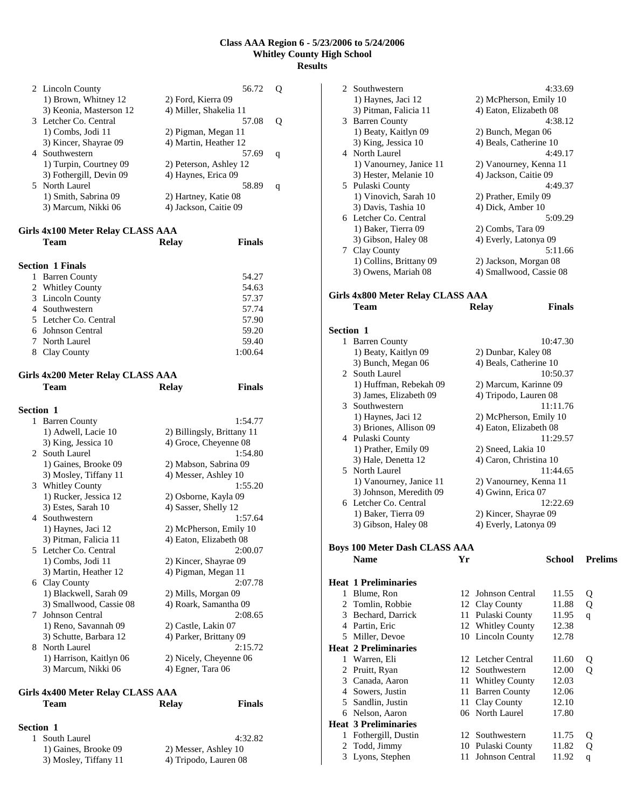| 2 Lincoln County        | 56.72                  |   |
|-------------------------|------------------------|---|
| 1) Brown, Whitney 12    | 2) Ford, Kierra 09     |   |
| 3) Keonia, Masterson 12 | 4) Miller, Shakelia 11 |   |
| 3 Letcher Co. Central   | 57.08                  |   |
| 1) Combs, Jodi 11       | 2) Pigman, Megan 11    |   |
| 3) Kincer, Shayrae 09   | 4) Martin, Heather 12  |   |
| 4 Southwestern          | 57.69                  | q |
| 1) Turpin, Courtney 09  | 2) Peterson, Ashley 12 |   |
| 3) Fothergill, Devin 09 | 4) Haynes, Erica 09    |   |
| 5 North Laurel          | 58.89                  | q |
| 1) Smith, Sabrina 09    | 2) Hartney, Katie 08   |   |
| 3) Marcum, Nikki 06     | 4) Jackson, Caitie 09  |   |
|                         |                        |   |

#### **Girls 4x100 Meter Relay CLASS AAA**

| <b>Team</b>               | <b>Relay</b> | <b>Finals</b> |
|---------------------------|--------------|---------------|
| <b>Section 1 Finals</b>   |              |               |
| <b>Barren County</b><br>1 |              | 54.27         |
| 2 Whitley County          |              | 54.63         |
| 3 Lincoln County          |              | 57.37         |
| 4 Southwestern            |              | 57.74         |
| 5 Letcher Co. Central     |              | 57.90         |
| 6 Johnson Central         |              | 59.20         |
| 7 North Laurel            |              | 59.40         |
| Clay County<br>8          |              | 1:00.64       |
|                           |              |               |

| Girls 4x200 Meter Relay CLASS AAA |              |               |
|-----------------------------------|--------------|---------------|
| Team                              | <b>Relay</b> | <b>Finals</b> |
|                                   |              |               |

| <b>Section 1</b> |                         |                            |
|------------------|-------------------------|----------------------------|
|                  | 1 Barren County         | 1:54.77                    |
|                  | 1) Adwell, Lacie 10     | 2) Billingsly, Brittany 11 |
|                  | 3) King, Jessica 10     | 4) Groce, Cheyenne 08      |
|                  | 2 South Laurel          | 1:54.80                    |
|                  | 1) Gaines, Brooke 09    | 2) Mabson, Sabrina 09      |
|                  | 3) Mosley, Tiffany 11   | 4) Messer, Ashley 10       |
|                  | 3 Whitley County        | 1:55.20                    |
|                  | 1) Rucker, Jessica 12   | 2) Osborne, Kayla 09       |
|                  | 3) Estes, Sarah 10      | 4) Sasser, Shelly 12       |
|                  | 4 Southwestern          | 1:57.64                    |
|                  | 1) Haynes, Jaci 12      | 2) McPherson, Emily 10     |
|                  | 3) Pitman, Falicia 11   | 4) Eaton, Elizabeth 08     |
|                  | 5 Letcher Co. Central   | 2:00.07                    |
|                  | 1) Combs, Jodi 11       | 2) Kincer, Shayrae 09      |
|                  | 3) Martin, Heather 12   | 4) Pigman, Megan 11        |
|                  | 6 Clay County           | 2:07.78                    |
|                  | 1) Blackwell, Sarah 09  | 2) Mills, Morgan 09        |
|                  | 3) Smallwood, Cassie 08 | 4) Roark, Samantha 09      |
| 7                | Johnson Central         | 2:08.65                    |
|                  | 1) Reno, Savannah 09    | 2) Castle, Lakin 07        |
|                  | 3) Schutte, Barbara 12  | 4) Parker, Brittany 09     |
|                  | 8 North Laurel          | 2:15.72                    |
|                  | 1) Harrison, Kaitlyn 06 | 2) Nicely, Cheyenne 06     |
|                  | 3) Marcum, Nikki 06     | 4) Egner, Tara 06          |
|                  |                         |                            |

# **Girls 4x400 Meter Relay CLASS AAA Team Relay Finals**

# **Section 1**

| 1 South Laurel        |
|-----------------------|
| 1) Gaines, Brooke 09  |
| 3) Mosley, Tiffany 11 |

4:32.82 2) Messer, Ashley 10 4) Tripodo, Lauren 08

|                  | 2 Southwestern                                      |    |                         | 4:33.69       |                |
|------------------|-----------------------------------------------------|----|-------------------------|---------------|----------------|
|                  | 1) Haynes, Jaci 12                                  |    | 2) McPherson, Emily 10  |               |                |
|                  | 3) Pitman, Falicia 11                               |    | 4) Eaton, Elizabeth 08  |               |                |
|                  | 3 Barren County                                     |    |                         | 4:38.12       |                |
|                  | 1) Beaty, Kaitlyn 09                                |    | 2) Bunch, Megan 06      |               |                |
|                  | 3) King, Jessica 10                                 |    | 4) Beals, Catherine 10  |               |                |
|                  | 4 North Laurel                                      |    |                         | 4:49.17       |                |
|                  | 1) Vanourney, Janice 11                             |    | 2) Vanourney, Kenna 11  |               |                |
|                  | 3) Hester, Melanie 10                               |    | 4) Jackson, Caitie 09   |               |                |
|                  | 5 Pulaski County                                    |    |                         | 4:49.37       |                |
|                  | 1) Vinovich, Sarah 10                               |    | 2) Prather, Emily 09    |               |                |
|                  | 3) Davis, Tashia 10                                 |    | 4) Dick, Amber 10       |               |                |
|                  | 6 Letcher Co. Central                               |    |                         | 5:09.29       |                |
|                  | 1) Baker, Tierra 09                                 |    | 2) Combs, Tara 09       |               |                |
|                  | 3) Gibson, Haley 08                                 |    | 4) Everly, Latonya 09   |               |                |
|                  | 7 Clay County                                       |    |                         | 5:11.66       |                |
|                  | 1) Collins, Brittany 09                             |    | 2) Jackson, Morgan 08   |               |                |
|                  | 3) Owens, Mariah 08                                 |    | 4) Smallwood, Cassie 08 |               |                |
|                  |                                                     |    |                         |               |                |
|                  | Girls 4x800 Meter Relay CLASS AAA                   |    |                         |               |                |
|                  | Team                                                |    | <b>Relay</b>            | <b>Finals</b> |                |
|                  |                                                     |    |                         |               |                |
| <b>Section 1</b> |                                                     |    |                         |               |                |
|                  | 1 Barren County                                     |    |                         | 10:47.30      |                |
|                  | 1) Beaty, Kaitlyn 09                                |    | 2) Dunbar, Kaley 08     |               |                |
|                  | 3) Bunch, Megan 06                                  |    | 4) Beals, Catherine 10  |               |                |
|                  | 2 South Laurel                                      |    |                         | 10:50.37      |                |
|                  | 1) Huffman, Rebekah 09                              |    | 2) Marcum, Karinne 09   |               |                |
|                  | 3) James, Elizabeth 09                              |    | 4) Tripodo, Lauren 08   |               |                |
|                  | 3 Southwestern                                      |    |                         | 11:11.76      |                |
|                  | 1) Haynes, Jaci 12                                  |    | 2) McPherson, Emily 10  |               |                |
|                  | 3) Briones, Allison 09                              |    | 4) Eaton, Elizabeth 08  |               |                |
|                  | 4 Pulaski County                                    |    |                         | 11:29.57      |                |
|                  | 1) Prather, Emily 09                                |    | 2) Sneed, Lakia 10      |               |                |
|                  | 3) Hale, Denetta 12                                 |    | 4) Caron, Christina 10  |               |                |
|                  | 5 North Laurel                                      |    |                         | 11:44.65      |                |
|                  | 1) Vanourney, Janice 11                             |    | 2) Vanourney, Kenna 11  |               |                |
|                  | 3) Johnson, Meredith 09                             |    | 4) Gwinn, Erica 07      |               |                |
|                  | 6 Letcher Co. Central                               |    |                         | 12:22.69      |                |
|                  | 1) Baker, Tierra 09                                 |    | 2) Kincer, Shayrae 09   |               |                |
|                  | 3) Gibson, Haley 08                                 |    | 4) Everly, Latonya 09   |               |                |
|                  |                                                     |    |                         |               |                |
|                  | <b>Boys 100 Meter Dash CLASS AAA</b><br><b>Name</b> | Yr |                         | <b>School</b> | <b>Prelims</b> |
|                  |                                                     |    |                         |               |                |
|                  | <b>Heat 1 Preliminaries</b>                         |    |                         |               |                |
| 1                | Blume, Ron                                          | 12 | <b>Johnson Central</b>  | 11.55         | Q              |
|                  | 2 Tomlin, Robbie                                    |    | 12 Clay County          | 11.88         | Q              |
| 3                | Bechard, Darrick                                    | 11 | Pulaski County          | 11.95         | $\overline{q}$ |
|                  | 4 Partin, Eric                                      |    | 12 Whitley County       | 12.38         |                |
|                  | 5 Miller, Devoe                                     |    | 10 Lincoln County       | 12.78         |                |
|                  | <b>Heat 2 Preliminaries</b>                         |    |                         |               |                |
| 1                | Warren, Eli                                         |    | 12 Letcher Central      | 11.60         |                |
| 2                | Pruitt, Ryan                                        | 12 | Southwestern            | 12.00         | Q<br>Q         |
| 3                | Canada, Aaron                                       | 11 | <b>Whitley County</b>   | 12.03         |                |
|                  | 4 Sowers, Justin                                    | 11 | <b>Barren County</b>    | 12.06         |                |
|                  | 5 Sandlin, Justin                                   | 11 | Clay County             | 12.10         |                |
|                  | 6 Nelson, Aaron                                     |    | 06 North Laurel         | 17.80         |                |
|                  | <b>Heat 3 Preliminaries</b>                         |    |                         |               |                |
| 1                | Fothergill, Dustin                                  | 12 | Southwestern            | 11.75         | Q              |
| 2                | Todd, Jimmy                                         |    | 10 Pulaski County       | 11.82         | Q              |
| 3                | Lyons, Stephen                                      | 11 | Johnson Central         | 11.92         | $\mathbf{q}$   |
|                  |                                                     |    |                         |               |                |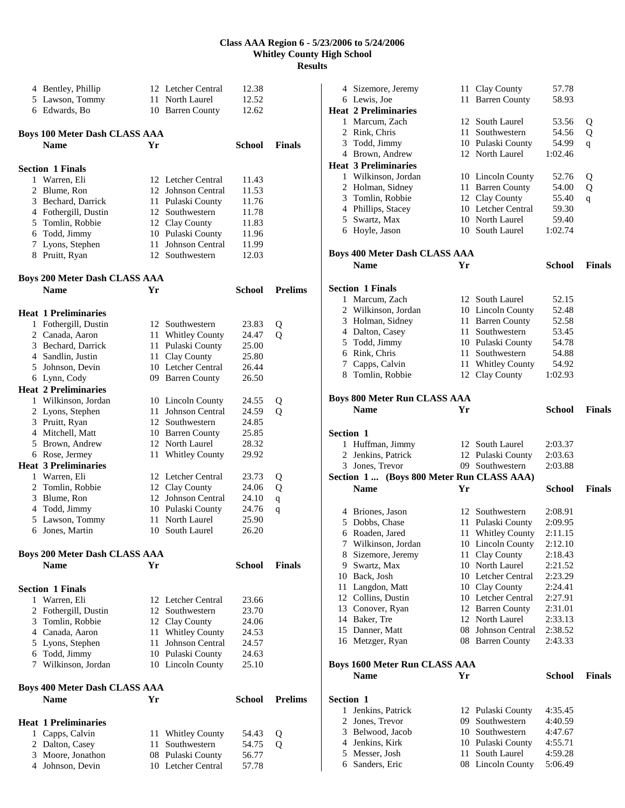|   | 4 Bentley, Phillip                   |    | 12 Letcher Central     | 12.38         |                |
|---|--------------------------------------|----|------------------------|---------------|----------------|
|   | 5 Lawson, Tommy                      | 11 | North Laurel           | 12.52         |                |
|   |                                      |    |                        |               |                |
|   | 6 Edwards, Bo                        |    | 10 Barren County       | 12.62         |                |
|   |                                      |    |                        |               |                |
|   | <b>Boys 100 Meter Dash CLASS AAA</b> |    |                        |               |                |
|   |                                      |    |                        |               |                |
|   | <b>Name</b>                          | Yr |                        | <b>School</b> | <b>Finals</b>  |
|   |                                      |    |                        |               |                |
|   | <b>Section 1 Finals</b>              |    |                        |               |                |
|   | 1 Warren, Eli                        |    | 12 Letcher Central     | 11.43         |                |
|   |                                      |    |                        |               |                |
|   | 2 Blume, Ron                         | 12 | Johnson Central        | 11.53         |                |
|   | 3 Bechard, Darrick                   | 11 | Pulaski County         | 11.76         |                |
|   | 4 Fothergill, Dustin                 |    | 12 Southwestern        | 11.78         |                |
|   | 5 Tomlin, Robbie                     |    | 12 Clay County         | 11.83         |                |
|   | 6 Todd, Jimmy                        |    | 10 Pulaski County      | 11.96         |                |
|   |                                      |    |                        |               |                |
|   | 7 Lyons, Stephen                     | 11 | Johnson Central        | 11.99         |                |
|   | 8 Pruitt, Ryan                       |    | 12 Southwestern        | 12.03         |                |
|   |                                      |    |                        |               |                |
|   | <b>Boys 200 Meter Dash CLASS AAA</b> |    |                        |               |                |
|   |                                      |    |                        |               |                |
|   | <b>Name</b>                          | Yr |                        | <b>School</b> | <b>Prelims</b> |
|   |                                      |    |                        |               |                |
|   | <b>Heat 1 Preliminaries</b>          |    |                        |               |                |
|   |                                      |    |                        |               |                |
|   | 1 Fothergill, Dustin                 |    | 12 Southwestern        | 23.83         | Q              |
|   | 2 Canada, Aaron                      | 11 | <b>Whitley County</b>  | 24.47         | Q              |
|   | 3 Bechard, Darrick                   | 11 | Pulaski County         | 25.00         |                |
|   | 4 Sandlin, Justin                    | 11 | Clay County            | 25.80         |                |
|   | 5 Johnson, Devin                     |    | 10 Letcher Central     | 26.44         |                |
|   |                                      |    |                        |               |                |
|   | 6 Lynn, Cody                         |    | 09 Barren County       | 26.50         |                |
|   | <b>Heat 2 Preliminaries</b>          |    |                        |               |                |
|   | 1 Wilkinson, Jordan                  |    | 10 Lincoln County      | 24.55         | Q              |
|   | 2 Lyons, Stephen                     | 11 | <b>Johnson Central</b> | 24.59         | Q              |
|   |                                      |    | 12 Southwestern        |               |                |
|   | 3 Pruitt, Ryan                       |    |                        | 24.85         |                |
|   | 4 Mitchell, Matt                     |    | 10 Barren County       | 25.85         |                |
|   | 5 Brown, Andrew                      |    | 12 North Laurel        | 28.32         |                |
|   | 6 Rose, Jermey                       | 11 | <b>Whitley County</b>  | 29.92         |                |
|   | <b>Heat 3 Preliminaries</b>          |    |                        |               |                |
|   |                                      |    |                        |               |                |
| 1 | Warren, Eli                          |    | 12 Letcher Central     | 23.73         | Q              |
|   | 2 Tomlin, Robbie                     |    | 12 Clay County         | 24.06         | Q              |
|   | 3 Blume, Ron                         |    | 12 Johnson Central     | 24.10         | $\mathbf q$    |
|   | 4 Todd, Jimmy                        |    | 10 Pulaski County      | 24.76         | q              |
|   | 5 Lawson, Tommy                      | 11 | North Laurel           | 25.90         |                |
|   |                                      |    |                        |               |                |
| 6 | Jones, Martin                        |    | 10 South Laurel        | 26.20         |                |
|   |                                      |    |                        |               |                |
|   | <b>Boys 200 Meter Dash CLASS AAA</b> |    |                        |               |                |
|   | <b>Name</b>                          | Yr |                        | School        | <b>Finals</b>  |
|   |                                      |    |                        |               |                |
|   |                                      |    |                        |               |                |
|   | <b>Section 1 Finals</b>              |    |                        |               |                |
| 1 | Warren, Eli                          |    | 12 Letcher Central     | 23.66         |                |
|   |                                      |    |                        |               |                |
|   | 2 Fothergill, Dustin                 |    | 12 Southwestern        | 23.70         |                |
|   | 3 Tomlin, Robbie                     |    | 12 Clay County         | 24.06         |                |
|   | 4 Canada, Aaron                      | 11 | <b>Whitley County</b>  | 24.53         |                |
|   | 5 Lyons, Stephen                     | 11 | Johnson Central        | 24.57         |                |
|   | 6 Todd, Jimmy                        |    | 10 Pulaski County      | 24.63         |                |
|   |                                      |    |                        |               |                |
|   | 7 Wilkinson, Jordan                  |    | 10 Lincoln County      | 25.10         |                |
|   |                                      |    |                        |               |                |
|   | <b>Boys 400 Meter Dash CLASS AAA</b> |    |                        |               |                |
|   | <b>Name</b>                          | Yr |                        | School        | <b>Prelims</b> |
|   |                                      |    |                        |               |                |
|   |                                      |    |                        |               |                |
|   | <b>Heat 1 Preliminaries</b>          |    |                        |               |                |
|   | 1 Capps, Calvin                      | 11 | <b>Whitley County</b>  | 54.43         | Q              |
|   |                                      |    |                        | 54.75         |                |
|   | 2 Dalton, Casey                      | 11 | Southwestern           |               | Q              |
|   | 3 Moore, Jonathon                    | 08 | Pulaski County         | 56.77         |                |
|   | 4 Johnson, Devin                     |    | 10 Letcher Central     | 57.78         |                |

|                  | 4 Sizemore, Jeremy                       |    | 11 Clay County        | 57.78         |               |
|------------------|------------------------------------------|----|-----------------------|---------------|---------------|
|                  | 6 Lewis, Joe                             | 11 | <b>Barren County</b>  | 58.93         |               |
|                  | <b>Heat 2 Preliminaries</b>              |    |                       |               |               |
|                  | 1 Marcum, Zach                           |    | 12 South Laurel       | 53.56         |               |
|                  |                                          |    |                       |               | Q             |
|                  | 2 Rink, Chris                            |    | 11 Southwestern       | 54.56         | Q             |
|                  | 3 Todd, Jimmy                            |    | 10 Pulaski County     | 54.99         | q             |
|                  | 4 Brown, Andrew                          |    | 12 North Laurel       | 1:02.46       |               |
|                  | <b>Heat 3 Preliminaries</b>              |    |                       |               |               |
|                  | 1 Wilkinson, Jordan                      |    | 10 Lincoln County     | 52.76         |               |
|                  |                                          |    |                       |               | Q             |
|                  | 2 Holman, Sidney                         |    | 11 Barren County      | 54.00         | Q             |
|                  | 3 Tomlin, Robbie                         |    | 12 Clay County        | 55.40         | q             |
|                  | 4 Phillips, Stacey                       |    | 10 Letcher Central    | 59.30         |               |
|                  | 5 Swartz, Max                            |    | 10 North Laurel       | 59.40         |               |
|                  | 6 Hoyle, Jason                           |    | 10 South Laurel       | 1:02.74       |               |
|                  |                                          |    |                       |               |               |
|                  |                                          |    |                       |               |               |
|                  | <b>Boys 400 Meter Dash CLASS AAA</b>     |    |                       |               |               |
|                  | <b>Name</b>                              | Yr |                       | School        | <b>Finals</b> |
|                  |                                          |    |                       |               |               |
|                  | <b>Section 1 Finals</b>                  |    |                       |               |               |
|                  |                                          |    |                       |               |               |
|                  | 1 Marcum, Zach                           |    | 12 South Laurel       | 52.15         |               |
|                  | 2 Wilkinson, Jordan                      |    | 10 Lincoln County     | 52.48         |               |
|                  | 3 Holman, Sidney                         |    | 11 Barren County      | 52.58         |               |
|                  | 4 Dalton, Casey                          |    | 11 Southwestern       | 53.45         |               |
|                  | 5 Todd, Jimmy                            |    | 10 Pulaski County     | 54.78         |               |
|                  | 6 Rink, Chris                            |    | 11 Southwestern       | 54.88         |               |
|                  |                                          |    |                       |               |               |
|                  | 7 Capps, Calvin                          |    | 11 Whitley County     | 54.92         |               |
|                  | 8 Tomlin, Robbie                         | 12 | Clay County           | 1:02.93       |               |
|                  |                                          |    |                       |               |               |
|                  | <b>Boys 800 Meter Run CLASS AAA</b>      |    |                       |               |               |
|                  | <b>Name</b>                              | Yr |                       | School        | <b>Finals</b> |
|                  |                                          |    |                       |               |               |
|                  |                                          |    |                       |               |               |
|                  |                                          |    |                       |               |               |
| <b>Section 1</b> |                                          |    |                       |               |               |
|                  |                                          |    | 12 South Laurel       | 2:03.37       |               |
|                  | 1 Huffman, Jimmy                         |    |                       |               |               |
| 2                | Jenkins, Patrick                         |    | 12 Pulaski County     | 2:03.63       |               |
|                  | 3 Jones, Trevor                          |    | 09 Southwestern       | 2:03.88       |               |
|                  | Section 1 (Boys 800 Meter Run CLASS AAA) |    |                       |               |               |
|                  | <b>Name</b>                              | Yr |                       | School        | <b>Finals</b> |
|                  |                                          |    |                       |               |               |
|                  |                                          |    |                       |               |               |
|                  | 4 Briones, Jason                         |    | 12 Southwestern       | 2:08.91       |               |
|                  | 5 Dobbs, Chase                           |    | 11 Pulaski County     | 2:09.95       |               |
|                  | 6 Roaden, Jared                          | 11 | <b>Whitley County</b> | 2:11.15       |               |
|                  | 7 Wilkinson, Jordan                      |    | 10 Lincoln County     | 2:12.10       |               |
|                  | 8 Sizemore, Jeremy                       | 11 | Clay County           | 2:18.43       |               |
|                  | 9 Swartz, Max                            |    | 10 North Laurel       | 2:21.52       |               |
|                  | 10 Back, Josh                            |    | 10 Letcher Central    |               |               |
|                  |                                          |    |                       | 2:23.29       |               |
|                  | 11 Langdon, Matt                         |    | 10 Clay County        | 2:24.41       |               |
|                  | 12 Collins, Dustin                       |    | 10 Letcher Central    | 2:27.91       |               |
|                  | 13 Conover, Ryan                         |    | 12 Barren County      | 2:31.01       |               |
|                  | 14 Baker, Tre                            |    | 12 North Laurel       | 2:33.13       |               |
|                  | 15 Danner, Matt                          |    | 08 Johnson Central    | 2:38.52       |               |
|                  | 16 Metzger, Ryan                         |    | 08 Barren County      | 2:43.33       |               |
|                  |                                          |    |                       |               |               |
|                  |                                          |    |                       |               |               |
|                  | <b>Boys 1600 Meter Run CLASS AAA</b>     |    |                       |               |               |
|                  | <b>Name</b>                              | Yr |                       | <b>School</b> | <b>Finals</b> |
|                  |                                          |    |                       |               |               |
| Section 1        |                                          |    |                       |               |               |
|                  |                                          |    |                       |               |               |
| 1                | Jenkins, Patrick                         |    | 12 Pulaski County     | 4:35.45       |               |
| 2                | Jones, Trevor                            |    | 09 Southwestern       | 4:40.59       |               |
|                  | 3 Belwood, Jacob                         |    | 10 Southwestern       | 4:47.67       |               |
|                  | 4 Jenkins, Kirk                          |    | 10 Pulaski County     | 4:55.71       |               |
|                  | 5 Messer, Josh<br>6 Sanders, Eric        |    | 11 South Laurel       | 4:59.28       |               |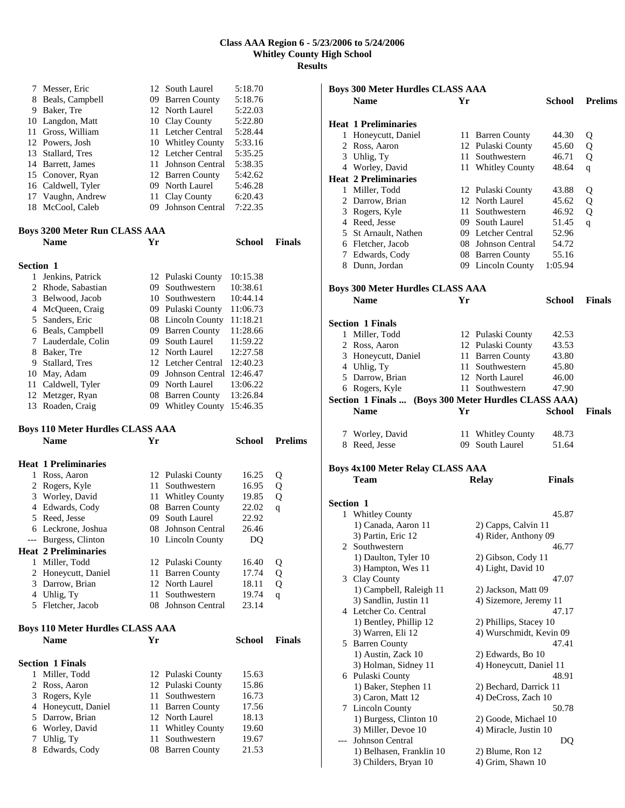| 7                | Messer, Eric                                           | 12   | South Laurel                              | 5:18.70        |                |
|------------------|--------------------------------------------------------|------|-------------------------------------------|----------------|----------------|
|                  | 8 Beals, Campbell                                      |      | 09 Barren County                          | 5:18.76        |                |
|                  | 9 Baker, Tre                                           |      | 12 North Laurel                           | 5:22.03        |                |
|                  | 10 Langdon, Matt                                       |      | 10 Clay County                            | 5:22.80        |                |
|                  | 11 Gross, William                                      |      | 11 Letcher Central                        | 5:28.44        |                |
|                  | 12 Powers, Josh                                        |      | 10 Whitley County                         | 5:33.16        |                |
|                  | 13 Stallard, Tres                                      |      | 12 Letcher Central                        | 5:35.25        |                |
|                  | 14 Barrett, James                                      |      | 11 Johnson Central                        | 5:38.35        |                |
|                  | 15 Conover, Ryan                                       |      | 12 Barren County                          | 5:42.62        |                |
|                  | 16 Caldwell, Tyler                                     |      | 09 North Laurel                           | 5:46.28        |                |
| 17               | Vaughn, Andrew                                         |      | 11 Clay County                            | 6:20.43        |                |
| 18               | McCool, Caleb                                          |      | 09 Johnson Central                        | 7:22.35        |                |
|                  | Boys 3200 Meter Run CLASS AAA                          |      |                                           |                |                |
|                  | <b>Name</b>                                            | Yr   |                                           | <b>School</b>  | <b>Finals</b>  |
|                  |                                                        |      |                                           |                |                |
| <b>Section 1</b> |                                                        |      |                                           |                |                |
| 1                | Jenkins, Patrick                                       |      | 12 Pulaski County                         | 10:15.38       |                |
|                  | 2 Rhode, Sabastian                                     |      | 09 Southwestern                           | 10:38.61       |                |
|                  | 3 Belwood, Jacob                                       |      | 10 Southwestern                           | 10:44.14       |                |
|                  | 4 McQueen, Craig                                       |      | 09 Pulaski County                         | 11:06.73       |                |
| 5                | Sanders, Eric                                          |      | 08 Lincoln County                         | 11:18.21       |                |
|                  | 6 Beals, Campbell                                      |      | 09 Barren County                          | 11:28.66       |                |
|                  | 7 Lauderdale, Colin                                    |      | 09 South Laurel                           | 11:59.22       |                |
| 8                | Baker. Tre                                             |      | 12 North Laurel                           | 12:27.58       |                |
|                  | 9 Stallard, Tres                                       |      | 12 Letcher Central                        | 12:40.23       |                |
|                  | 10 May, Adam                                           |      | 09 Johnson Central 12:46.47               |                |                |
|                  | 11 Caldwell, Tyler                                     |      | 09 North Laurel                           | 13:06.22       |                |
|                  | 12 Metzger, Ryan                                       |      | 08 Barren County                          | 13:26.84       |                |
|                  | 13 Roaden, Craig                                       |      | 09 Whitley County                         | 15:46.35       |                |
|                  |                                                        |      |                                           |                |                |
|                  | <b>Boys 110 Meter Hurdles CLASS AAA</b>                |      |                                           |                |                |
|                  | <b>Name</b>                                            | Yr   |                                           | School         | <b>Prelims</b> |
|                  |                                                        |      |                                           |                |                |
| 1                | Heat 1 Preliminaries                                   |      | 12 Pulaski County                         |                |                |
| 2                | Ross, Aaron                                            | 11 - | Southwestern                              | 16.25          | Q              |
|                  | Rogers, Kyle                                           |      |                                           | 16.95          | Q              |
|                  | 3 Worley, David                                        |      | 11 Whitley County<br>08 Barren County     | 19.85<br>22.02 | Q              |
| 5                | 4 Edwards, Cody<br>Reed, Jesse                         | 09   | South Laurel                              | 22.92          | $\mathsf{q}$   |
|                  | 6 Leckrone, Joshua                                     |      | 08 Johnson Central                        | 26.46          |                |
|                  | --- Burgess, Clinton                                   |      | 10 Lincoln County                         | DQ             |                |
|                  | <b>Heat 2 Preliminaries</b>                            |      |                                           |                |                |
|                  | 1 Miller, Todd                                         |      |                                           | 16.40          |                |
| 2                | Honeycutt, Daniel                                      | 11   | 12 Pulaski County<br><b>Barren County</b> | 17.74          | Q              |
| 3                | Darrow, Brian                                          | 12   | North Laurel                              | 18.11          | Q<br>Q         |
|                  | 4 Uhlig, Ty                                            | 11   | Southwestern                              | 19.74          | q              |
| 5                | Fletcher, Jacob                                        | 08   | Johnson Central                           | 23.14          |                |
|                  |                                                        |      |                                           |                |                |
|                  | <b>Boys 110 Meter Hurdles CLASS AAA</b><br><b>Name</b> | Yr   |                                           | <b>School</b>  | <b>Finals</b>  |
|                  |                                                        |      |                                           |                |                |
|                  | <b>Section 1 Finals</b>                                |      |                                           |                |                |
| 1                | Miller, Todd                                           |      | 12 Pulaski County                         | 15.63          |                |
| $\overline{2}$   | Ross, Aaron                                            |      | 12 Pulaski County                         | 15.86          |                |
| 3                | Rogers, Kyle                                           | 11-  | Southwestern                              | 16.73          |                |
| 4                | Honeycutt, Daniel                                      |      | 11 Barren County                          | 17.56          |                |
| 5                | Darrow, Brian                                          | 12   | North Laurel                              | 18.13          |                |
|                  | 6 Worley, David                                        |      | 11 Whitley County                         | 19.60          |                |
| 7<br>8           | Uhlig, Ty<br>Edwards, Cody                             | 11   | Southwestern<br>08 Barren County          | 19.67<br>21.53 |                |

| <b>Boys 300 Meter Hurdles CLASS AAA</b> |                                                      |    |                         |               |                |
|-----------------------------------------|------------------------------------------------------|----|-------------------------|---------------|----------------|
|                                         | <b>Name</b>                                          | Yr |                         | School        | <b>Prelims</b> |
|                                         |                                                      |    |                         |               |                |
|                                         | <b>Heat 1 Preliminaries</b>                          |    |                         |               |                |
|                                         | 1 Honeycutt, Daniel                                  |    | 11 Barren County        | 44.30         | Q              |
|                                         | 2 Ross, Aaron                                        |    | 12 Pulaski County       | 45.60         | Q              |
|                                         | 3 Uhlig, Ty                                          | 11 | Southwestern            | 46.71         | Q              |
|                                         | 4 Worley, David                                      |    |                         | 48.64         |                |
|                                         |                                                      |    | 11 Whitley County       |               | q              |
|                                         | <b>Heat 2 Preliminaries</b>                          |    |                         |               |                |
|                                         | 1 Miller, Todd                                       |    | 12 Pulaski County       | 43.88         | Q              |
|                                         | 2 Darrow, Brian                                      |    | 12 North Laurel         | 45.62         | Q              |
|                                         | 3 Rogers, Kyle                                       | 11 | Southwestern            | 46.92         | Q              |
|                                         | 4 Reed, Jesse                                        |    | 09 South Laurel         | 51.45         | q              |
|                                         | 5 St Arnault, Nathen                                 |    | 09 Letcher Central      | 52.96         |                |
|                                         | 6 Fletcher, Jacob                                    |    | 08 Johnson Central      | 54.72         |                |
|                                         | 7 Edwards, Cody                                      |    | 08 Barren County        | 55.16         |                |
|                                         | 8 Dunn, Jordan                                       |    | 09 Lincoln County       | 1:05.94       |                |
|                                         |                                                      |    |                         |               |                |
|                                         |                                                      |    |                         |               |                |
|                                         | <b>Boys 300 Meter Hurdles CLASS AAA</b>              |    |                         |               |                |
|                                         | <b>Name</b>                                          | Yг |                         | School        | <b>Finals</b>  |
|                                         |                                                      |    |                         |               |                |
|                                         | <b>Section 1 Finals</b>                              |    |                         |               |                |
|                                         | 1 Miller, Todd                                       |    | 12 Pulaski County       | 42.53         |                |
|                                         | 2 Ross, Aaron                                        |    | 12 Pulaski County       | 43.53         |                |
|                                         | 3 Honeycutt, Daniel                                  | 11 | <b>Barren County</b>    | 43.80         |                |
|                                         | 4 Uhlig, Ty                                          |    | 11 Southwestern         | 45.80         |                |
|                                         | 5 Darrow, Brian                                      |    | 12 North Laurel         | 46.00         |                |
|                                         |                                                      |    |                         |               |                |
|                                         | 6 Rogers, Kyle                                       |    | 11 Southwestern         | 47.90         |                |
|                                         | Section 1 Finals  (Boys 300 Meter Hurdles CLASS AAA) |    |                         |               |                |
|                                         | <b>Name</b>                                          | Yr |                         | School        | <b>Finals</b>  |
|                                         |                                                      |    |                         |               |                |
|                                         | 7 Worley, David                                      |    | 11 Whitley County       | 48.73         |                |
|                                         | 8 Reed, Jesse                                        |    | 09 South Laurel         | 51.64         |                |
|                                         |                                                      |    |                         |               |                |
|                                         | <b>Boys 4x100 Meter Relay CLASS AAA</b>              |    |                         |               |                |
|                                         | Team                                                 |    | <b>Relay</b>            | <b>Finals</b> |                |
|                                         |                                                      |    |                         |               |                |
|                                         |                                                      |    |                         |               |                |
| <b>Section 1</b>                        |                                                      |    |                         |               |                |
| 1                                       | <b>Whitley County</b>                                |    |                         | 45.87         |                |
|                                         | 1) Canada, Aaron 11                                  |    | 2) Capps, Calvin 11     |               |                |
|                                         | 3) Partin, Eric 12                                   |    | 4) Rider, Anthony 09    |               |                |
| 2                                       | Southwestern                                         |    |                         | 46.77         |                |
|                                         | 1) Daulton, Tyler 10                                 |    | 2) Gibson, Cody 11      |               |                |
|                                         | 3) Hampton, Wes 11                                   |    | 4) Light, David 10      |               |                |
|                                         | 3 Clay County                                        |    |                         | 47.07         |                |
|                                         | 1) Campbell, Raleigh 11                              |    | 2) Jackson, Matt 09     |               |                |
|                                         | 3) Sandlin, Justin 11                                |    | 4) Sizemore, Jeremy 11  |               |                |
|                                         |                                                      |    |                         |               |                |
|                                         | 4 Letcher Co. Central                                |    |                         | 47.17         |                |
|                                         | 1) Bentley, Phillip 12                               |    | 2) Phillips, Stacey 10  |               |                |
|                                         | 3) Warren, Eli 12                                    |    | 4) Wurschmidt, Kevin 09 |               |                |
|                                         | 5 Barren County                                      |    |                         | 47.41         |                |
|                                         | 1) Austin, Zack 10                                   |    | 2) Edwards, Bo 10       |               |                |
|                                         | 3) Holman, Sidney 11                                 |    | 4) Honeycutt, Daniel 11 |               |                |
|                                         | 6 Pulaski County                                     |    |                         | 48.91         |                |
|                                         | 1) Baker, Stephen 11                                 |    | 2) Bechard, Darrick 11  |               |                |
|                                         | 3) Caron, Matt 12                                    |    | 4) DeCross, Zach 10     |               |                |
| 7                                       | <b>Lincoln County</b>                                |    |                         | 50.78         |                |
|                                         |                                                      |    |                         |               |                |
|                                         | 1) Burgess, Clinton 10                               |    | 2) Goode, Michael 10    |               |                |
|                                         | 3) Miller, Devoe 10                                  |    | 4) Miracle, Justin 10   |               |                |
|                                         | Johnson Central                                      |    |                         | DQ            |                |
|                                         |                                                      |    |                         |               |                |
|                                         | 1) Belhasen, Franklin 10                             |    | 2) Blume, Ron 12        |               |                |
|                                         | 3) Childers, Bryan 10                                |    | 4) Grim, Shawn 10       |               |                |